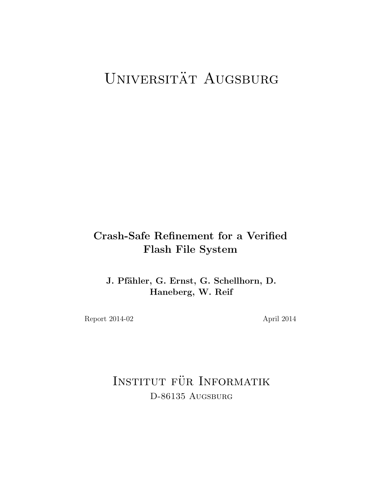# UNIVERSITÄT AUGSBURG

## Crash-Safe Refinement for a Verified Flash File System

J. Pfähler, G. Ernst, G. Schellhorn, D. Haneberg, W. Reif

Report 2014-02 April 2014

INSTITUT FÜR INFORMATIK D-86135 AUGSBURG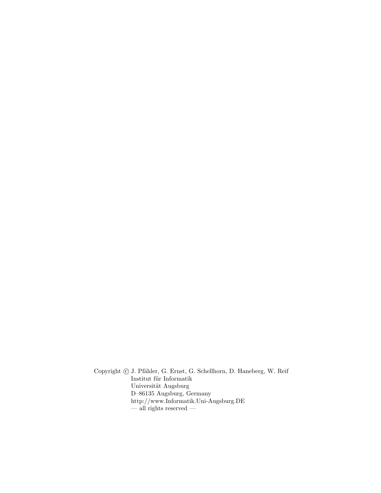Copyright  $\odot$  J. Pfähler, G. Ernst, G. Schellhorn, D. Haneberg, W. Reif  $\;$ Institut für Informatik Universität Augsburg D–86135 Augsburg, Germany http://www.Informatik.Uni-Augsburg.DE  $-$ all rights reserved  $-$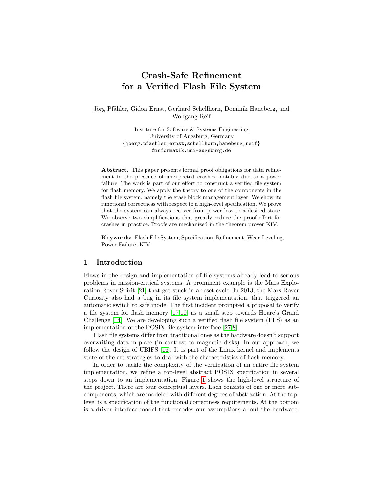### Crash-Safe Refinement for a Verified Flash File System

Jörg Pfähler, Gidon Ernst, Gerhard Schellhorn, Dominik Haneberg, and Wolfgang Reif

> Institute for Software & Systems Engineering University of Augsburg, Germany {joerg.pfaehler,ernst,schellhorn,haneberg,reif} @informatik.uni-augsburg.de

Abstract. This paper presents formal proof obligations for data refinement in the presence of unexpected crashes, notably due to a power failure. The work is part of our effort to construct a verified file system for flash memory. We apply the theory to one of the components in the flash file system, namely the erase block management layer. We show its functional correctness with respect to a high-level specification. We prove that the system can always recover from power loss to a desired state. We observe two simplifications that greatly reduce the proof effort for crashes in practice. Proofs are mechanized in the theorem prover KIV.

Keywords: Flash File System, Specification, Refinement, Wear-Leveling, Power Failure, KIV

#### 1 Introduction

Flaws in the design and implementation of file systems already lead to serious problems in mission-critical systems. A prominent example is the Mars Exploration Rover Spirit [\[21\]](#page-16-0) that got stuck in a reset cycle. In 2013, the Mars Rover Curiosity also had a bug in its file system implementation, that triggered an automatic switch to safe mode. The first incident prompted a proposal to verify a file system for flash memory [\[17,](#page-16-1)[10\]](#page-16-2) as a small step towards Hoare's Grand Challenge [\[14\]](#page-16-3). We are developing such a verified flash file system (FFS) as an implementation of the POSIX file system interface [\[27,](#page-16-4)[8\]](#page-15-0).

Flash file systems differ from traditional ones as the hardware doesn't support overwriting data in-place (in contrast to magnetic disks). In our approach, we follow the design of UBIFS [\[16\]](#page-16-5). It is part of the Linux kernel and implements state-of-the-art strategies to deal with the characteristics of flash memory.

In order to tackle the complexity of the verification of an entire file system implementation, we refine a top-level abstract POSIX specification in several steps down to an implementation. Figure [1](#page-3-0) shows the high-level structure of the project. There are four conceptual layers. Each consists of one or more subcomponents, which are modeled with different degrees of abstraction. At the toplevel is a specification of the functional correctness requirements. At the bottom is a driver interface model that encodes our assumptions about the hardware.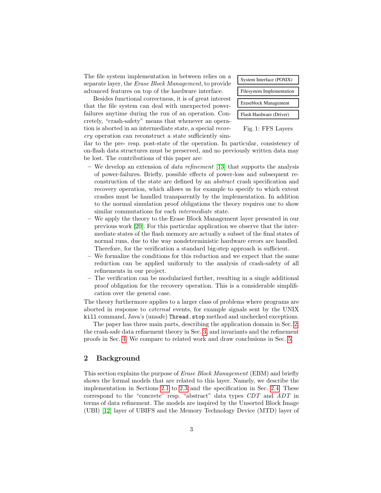The file system implementation in between relies on a separate layer, the Erase Block Management, to provide advanced features on top of the hardware interface.

Besides functional correctness, it is of great interest that the file system can deal with unexpected powerfailures anytime during the run of an operation. Concretely, "crash-safety" means that whenever an operation is aborted in an intermediate state, a special recovery operation can reconstruct a state sufficiently sim<span id="page-3-0"></span>Filesystem Implementation Eraseblock Management Flash Hardware (Driver) System Interface (POSIX)

#### Fig. 1: FFS Layers

ilar to the pre- resp. post-state of the operation. In particular, consistency of on-flash data structures must be preserved, and no previously written data may be lost. The contributions of this paper are:

- We develop an extension of *data refinement* [\[13\]](#page-16-6) that supports the analysis of power-failures. Briefly, possible effects of power-loss and subsequent reconstruction of the state are defined by an abstract crash specification and recovery operation, which allows us for example to specify to which extent crashes must be handled transparently by the implementation. In addition to the normal simulation proof obligations the theory requires one to show similar commutations for each intermediate state.
- We apply the theory to the Erase Block Management layer presented in our previous work [\[20\]](#page-16-7). For this particular application we observe that the intermediate states of the flash memory are actually a subset of the final states of normal runs, due to the way nondeterministic hardware errors are handled. Therefore, for the verification a standard big-step approach is sufficient.
- We formalize the conditions for this reduction and we expect that the same reduction can be applied uniformly to the analysis of crash-safety of all refinements in our project.
- The verification can be modularized further, resulting in a single additional proof obligation for the recovery operation. This is a considerable simplification over the general case.

The theory furthermore applies to a larger class of problems where programs are aborted in response to external events, for example signals sent by the UNIX kill command, Java's (unsafe) Thread.stop method and unchecked exceptions.

The paper has three main parts, describing the application domain in Sec. [2,](#page-3-1) the crash-safe data refinement theory in Sec. [3,](#page-8-0) and invariants and the refinement proofs in Sec. [4.](#page-12-0) We compare to related work and draw conclusions in Sec. [5.](#page-14-0)

#### <span id="page-3-1"></span>2 Background

This section explains the purpose of Erase Block Management (EBM) and briefly shows the formal models that are related to this layer. Namely, we describe the implementation in Sections [2.1](#page-4-0) to [2.3](#page-7-0) and the specification in Sec. [2.4.](#page-8-1) These correspond to the "concrete" resp. "abstract" data types CDT and ADT in terms of data refinement. The models are inspired by the Unsorted Block Image (UBI) [\[12\]](#page-16-8) layer of UBIFS and the Memory Technology Device (MTD) layer of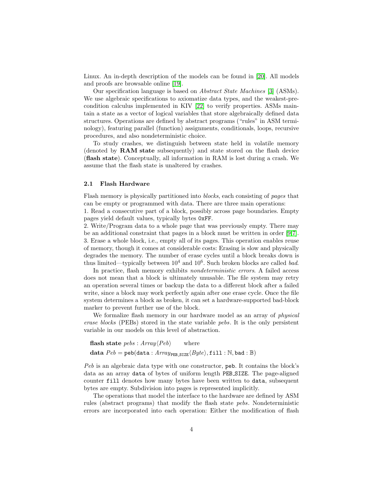Linux. An in-depth description of the models can be found in [\[20\]](#page-16-7). All models and proofs are browsable online [\[19\]](#page-16-9).

Our specification language is based on Abstract State Machines [\[3\]](#page-15-1) (ASMs). We use algebraic specifications to axiomatize data types, and the weakest-precondition calculus implemented in KIV [\[22\]](#page-16-10) to verify properties. ASMs maintain a state as a vector of logical variables that store algebraically defined data structures. Operations are defined by abstract programs ("rules" in ASM terminology), featuring parallel (function) assignments, conditionals, loops, recursive procedures, and also nondeterministic choice.

To study crashes, we distinguish between state held in volatile memory (denoted by RAM state subsequently) and state stored on the flash device (flash state). Conceptually, all information in RAM is lost during a crash. We assume that the flash state is unaltered by crashes.

#### <span id="page-4-0"></span>2.1 Flash Hardware

Flash memory is physically partitioned into blocks, each consisting of pages that can be empty or programmed with data. There are three main operations: 1. Read a consecutive part of a block, possibly across page boundaries. Empty

pages yield default values, typically bytes 0xFF.

2. Write/Program data to a whole page that was previously empty. There may be an additional constraint that pages in a block must be written in order [\[9,](#page-16-11)[7\]](#page-15-2). 3. Erase a whole block, i.e., empty all of its pages. This operation enables reuse of memory, though it comes at considerable costs: Erasing is slow and physically degrades the memory. The number of erase cycles until a block breaks down is thus limited—typically between  $10^4$  and  $10^6$ . Such broken blocks are called *bad*.

In practice, flash memory exhibits nondeterministic errors. A failed access does not mean that a block is ultimately unusable. The file system may retry an operation several times or backup the data to a different block after a failed write, since a block may work perfectly again after one erase cycle. Once the file system determines a block as broken, it can set a hardware-supported bad-block marker to prevent further use of the block.

We formalize flash memory in our hardware model as an array of *physical* erase blocks (PEBs) stored in the state variable pebs. It is the only persistent variable in our models on this level of abstraction.

```
flash state pebs : Array\langle Peb \rangle where
data Peb = peb(data : Array_{PER\,\,SIZE}} \langle Byte\rangle, \texttt{fill} : \mathbb{N}, \texttt{bad} : \mathbb{B})
```
Peb is an algebraic data type with one constructor, peb. It contains the block's data as an array data of bytes of uniform length PEB SIZE. The page-aligned counter fill denotes how many bytes have been written to data, subsequent bytes are empty. Subdivision into pages is represented implicitly.

The operations that model the interface to the hardware are defined by ASM rules (abstract programs) that modify the flash state pebs. Nondeterministic errors are incorporated into each operation: Either the modification of flash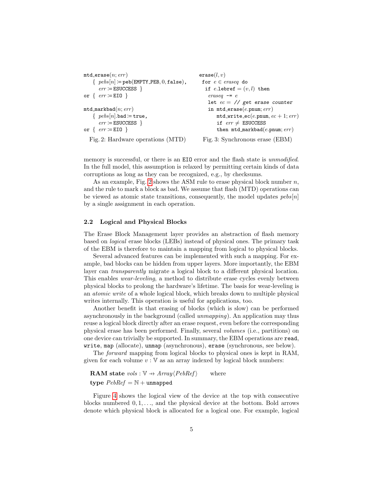```
mtd erase(n; err)\{ \text{pels}[n] \coloneqq \text{peb}(\text{EMPTY\_PEB}, 0, \text{false}), \}err \coloneqq ESUCCESS \}or \{err := EIO\}mtd\_markbad(n; err)\{ \ pebs[n].bad := true,err \coloneqq ESUCCESS \}or \{err := EIO\}Fig. 2: Hardware operations (MTD)
                                                   erase(l, v)for e \in \text{eraseq} do
                                                     if e.lebref = (v, l) then
                                                       eraseq -elet ec = \frac{1}{s} get erase counter
                                                       in mtd-erase(e.pnum; err)
                                                           mtd-write ec(e.pnum, ec + 1; err)if err \neq ESUCCESS
                                                           then mtd\_markbad(e.pnum; err)Fig. 3: Synchronous erase (EBM)
```
memory is successful, or there is an EIO error and the flash state is *unmodified*. In the full model, this assumption is relaxed by permitting certain kinds of data corruptions as long as they can be recognized, e.g., by checksums.

As an example, Fig. [2](#page-5-0) shows the ASM rule to erase physical block number  $n$ , and the rule to mark a block as bad. We assume that flash (MTD) operations can be viewed as atomic state transitions, consequently, the model updates  $pebs[n]$ by a single assignment in each operation.

#### <span id="page-5-1"></span>2.2 Logical and Physical Blocks

The Erase Block Management layer provides an abstraction of flash memory based on logical erase blocks (LEBs) instead of physical ones. The primary task of the EBM is therefore to maintain a mapping from logical to physical blocks.

Several advanced features can be implemented with such a mapping. For example, bad blocks can be hidden from upper layers. More importantly, the EBM layer can transparently migrate a logical block to a different physical location. This enables wear-leveling, a method to distribute erase cycles evenly between physical blocks to prolong the hardware's lifetime. The basis for wear-leveling is an atomic write of a whole logical block, which breaks down to multiple physical writes internally. This operation is useful for applications, too.

Another benefit is that erasing of blocks (which is slow) can be performed asynchronously in the background (called unmapping). An application may thus reuse a logical block directly after an erase request, even before the corresponding physical erase has been performed. Finally, several volumes (i.e., partitions) on one device can trivially be supported. In summary, the EBM operations are read, write, map (allocate), unmap (asynchronous), erase (synchronous, see below).

The forward mapping from logical blocks to physical ones is kept in RAM, given for each volume  $v : V$  as an array indexed by logical block numbers:

**RAM** state  $vols : \mathbb{V} \rightarrow Array\langle PebRef \rangle$  where type  $PebRef = N +$ unmapped

Figure [4](#page-6-0) shows the logical view of the device at the top with consecutive blocks numbered  $0, 1, \ldots$ , and the physical device at the bottom. Bold arrows denote which physical block is allocated for a logical one. For example, logical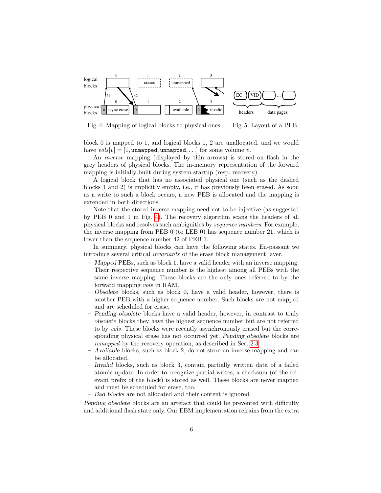<span id="page-6-0"></span>

Fig. 4: Mapping of logical blocks to physical ones Fig. 5: Layout of a PEB

block 0 is mapped to 1, and logical blocks 1, 2 are unallocated, and we would have  $vols[v] = [1, \text{unmapped}, \text{unmapped}, \ldots]$  for some volume v.

An inverse mapping (displayed by thin arrows) is stored on flash in the grey headers of physical blocks. The in-memory representation of the forward mapping is initially built during system startup (resp. recovery).

A logical block that has no associated physical one (such as the dashed blocks 1 and 2) is implicitly empty, i.e., it has previously been erased. As soon as a write to such a block occurs, a new PEB is allocated and the mapping is extended in both directions.

Note that the stored inverse mapping need not to be injective (as suggested by PEB 0 and 1 in Fig. [4\)](#page-6-0). The recovery algorithm scans the headers of all physical blocks and resolves such ambiguities by sequence numbers. For example, the inverse mapping from PEB 0 (to LEB 0) has sequence number 21, which is lower than the sequence number 42 of PEB 1.

In summary, physical blocks can have the following states. En-passant we introduce several critical invariants of the erase block management layer.

- Mapped PEBs, such as block 1, have a valid header with an inverse mapping. Their respective sequence number is the highest among all PEBs with the same inverse mapping. These blocks are the only ones referred to by the forward mapping vols in RAM.
- Obsolete blocks, such as block 0, have a valid header, however, there is another PEB with a higher sequence number. Such blocks are not mapped and are scheduled for erase.
- Pending obsolete blocks have a valid header, however, in contrast to truly obsolete blocks they have the highest sequence number but are not referred to by vols. These blocks were recently asynchronously erased but the corresponding physical erase has not occurred yet. Pending obsolete blocks are remapped by the recovery operation, as described in Sec. [2.3.](#page-7-0)
- Available blocks, such as block 2, do not store an inverse mapping and can be allocated.
- Invalid blocks, such as block 3, contain partially written data of a failed atomic update. In order to recognize partial writes, a checksum (of the relevant prefix of the block) is stored as well. These blocks are never mapped and must be scheduled for erase, too.
- Bad blocks are not allocated and their content is ignored.

Pending obsolete blocks are an artefact that could be prevented with difficulty and additional flash state only. Our EBM implementation refrains from the extra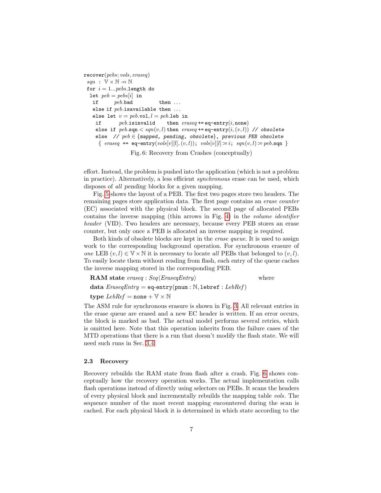```
recover(pebs; vols, eraseq)
 sgn : \mathbb{V} \times \mathbb{N} \rightarrow \mathbb{N}for i = 1...p e b s.length do
  let peb = pebs[i] in
   if peb.\text{bad} then ...
   else if peb. isavailable then \dotselse let v = peb.vol, l = peb.leb inif peb.isinvalid then eraseq \text{+= } eq\text{-entry}(i, none)else if peb.\text{sqn} < sqn(v, l) then \text{eraseq} \text{+= eq-entry}(i,(v, l)) // obsolete
     else // peb \in \{mapped, pending, obsolete\}, previous PEB obsolete
      { eraseq += eq-entry(vols[v][l], (v, l)); vols[v][l] := i; sqn(v, l) := peb \cdot sqn }
```
Fig. 6: Recovery from Crashes (conceptually)

effort. Instead, the problem is pushed into the application (which is not a problem in practice). Alternatively, a less efficient synchronous erase can be used, which disposes of all pending blocks for a given mapping.

Fig. [5](#page-6-0) shows the layout of a PEB. The first two pages store two headers. The remaining pages store application data. The first page contains an erase counter (EC) associated with the physical block. The second page of allocated PEBs contains the inverse mapping (thin arrows in Fig. [4\)](#page-6-0) in the volume identifier header (VID). Two headers are necessary, because every PEB stores an erase counter, but only once a PEB is allocated an inverse mapping is required.

Both kinds of obsolete blocks are kept in the erase queue. It is used to assign work to the corresponding background operation. For synchronous erasure of one LEB  $(v, l) \in V \times N$  it is necessary to locate all PEBs that belonged to  $(v, l)$ . To easily locate them without reading from flash, each entry of the queue caches the inverse mapping stored in the corresponding PEB.

| <b>RAM</b> state eraseq: $Seq\langle EraseqEntry\rangle$ | where |
|----------------------------------------------------------|-------|
| data $EraseqEntry = eq-entry(pnum : N, 1ebref : LebRef)$ |       |
| type $LebRef =$ none $+ \mathbb{V} \times \mathbb{N}$    |       |

The ASM rule for synchronous erasure is shown in Fig. [3.](#page-5-0) All relevant entries in the erase queue are erased and a new EC header is written. If an error occurs, the block is marked as bad. The actual model performs several retries, which is omitted here. Note that this operation inherits from the failure cases of the MTD operations that there is a run that doesn't modify the flash state. We will need such runs in Sec. [3.4.](#page-10-0)

#### <span id="page-7-0"></span>2.3 Recovery

Recovery rebuilds the RAM state from flash after a crash. Fig. [6](#page-7-1) shows conceptually how the recovery operation works. The actual implementation calls flash operations instead of directly using selectors on PEBs. It scans the headers of every physical block and incrementally rebuilds the mapping table vols. The sequence number of the most recent mapping encountered during the scan is cached. For each physical block it is determined in which state according to the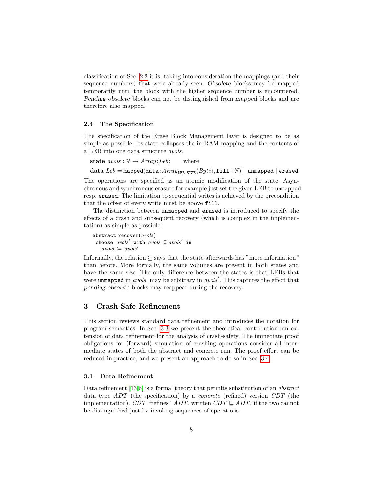classification of Sec. [2.2](#page-5-1) it is, taking into consideration the mappings (and their sequence numbers) that were already seen. Obsolete blocks may be mapped temporarily until the block with the higher sequence number is encountered. Pending obsolete blocks can not be distinguished from mapped blocks and are therefore also mapped.

#### <span id="page-8-1"></span>2.4 The Specification

The specification of the Erase Block Management layer is designed to be as simple as possible. Its state collapses the in-RAM mapping and the contents of a LEB into one data structure avols.

state  $avols : \mathbb{V} \rightarrow Array\langle Leb \rangle$  where data  $Leb = \text{mapped}(data:Array_{LEB\_SIZE}\langle Byte\rangle, \text{fill}: \mathbb{N}) |$  unmapped | erased

The operations are specified as an atomic modification of the state. Asynchronous and synchronous erasure for example just set the given LEB to unmapped resp. erased. The limitation to sequential writes is achieved by the precondition that the offset of every write must be above fill.

The distinction between unmapped and erased is introduced to specify the effects of a crash and subsequent recovery (which is complex in the implementation) as simple as possible:

```
abstract\_recover(avols)choose avols' with avols \subseteq avols' in
   avols := avols'
```
Informally, the relation  $\subseteq$  says that the state afterwards has "more information" than before. More formally, the same volumes are present in both states and have the same size. The only difference between the states is that LEBs that were unmapped in *avols*, may be arbitrary in *avols'*. This captures the effect that pending obsolete blocks may reappear during the recovery.

#### <span id="page-8-0"></span>3 Crash-Safe Refinement

This section reviews standard data refinement and introduces the notation for program semantics. In Sec. [3.3](#page-9-0) we present the theoretical contribution: an extension of data refinement for the analysis of crash-safety. The immediate proof obligations for (forward) simulation of crashing operations consider all intermediate states of both the abstract and concrete run. The proof effort can be reduced in practice, and we present an approach to do so in Sec. [3.4.](#page-10-0)

#### <span id="page-8-2"></span>3.1 Data Refinement

Data refinement [\[13,](#page-16-6)[6\]](#page-15-3) is a formal theory that permits substitution of an *abstract* data type ADT (the specification) by a concrete (refined) version CDT (the implementation). CDT "refines"  $ADT$ , written  $CDT \sqsubseteq ADT$ , if the two cannot be distinguished just by invoking sequences of operations.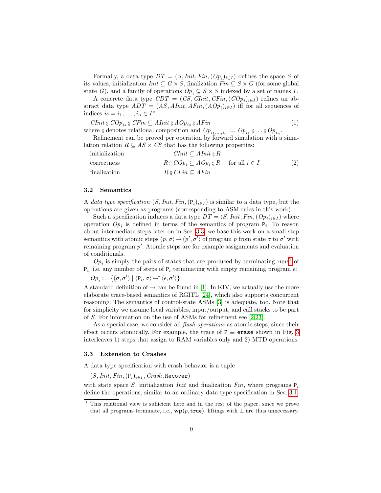Formally, a data type  $DT = (S,Init, Fin, (Op<sub>i</sub>)<sub>i \in I</sub>)$  defines the space S of its values, initialization  $Init \subseteq G \times S$ , finalization  $Fin \subseteq S \times G$  (for some global state G), and a family of operations  $Op_i \subseteq S \times S$  indexed by a set of names I.

A concrete data type  $CDT = (CS, Chit, CFin, (COp<sub>i</sub>)<sub>i \in I</sub>)$  refines an abstract data type  $ADT = (AS, AInit, AFin, (AOp<sub>i</sub>)<sub>i \in I</sub>)$  iff for all sequences of indices  $is = i_1, \ldots, i_n \in I^*$ :

CInit  ${}_{9}^{6} \, COp_{is} \, {}_{9}^{6} \, CFin \subseteq Ahnit \, {}_{9}^{6} \, AOp_{is} \, {}_{9}^{6} \, AFin$  (1) where  $\S$  denotes relational composition and  $Op_{i_1,\ldots,i_n} := Op_{i_1} \S \ldots \S Op_{i_n}$ .

Refinement can be proved per operation by forward simulation with a simulation relation  $R \subseteq AS \times CS$  that has the following properties:

<span id="page-9-2"></span>

| initialization | $CInit \subseteq AInit \otimes R$                                                                  |     |
|----------------|----------------------------------------------------------------------------------------------------|-----|
| correctness    | $R_{\frac{8}{9}}\text{COp}_i \subseteq \text{AOp}_i \, {}_{\frac{8}{9}}\text{R}$ for all $i \in I$ | (2) |
| finalization   | $R S \circ C\!\operatorname{Fin} \subseteq AF\!\operatorname{in}$                                  |     |

#### 3.2 Semantics

A data type specification  $(S,Init, Fin, (P_i)_{i \in I})$  is similar to a data type, but the operations are given as programs (corresponding to ASM rules in this work).

Such a specification induces a data type  $DT = (S,Init, Fin, (Op<sub>i</sub>)<sub>i \in I</sub>)$  where operation  $Op_i$  is defined in terms of the semantics of program  $P_i$ . To reason about intermediate steps later on in Sec. [3.3,](#page-9-0) we base this work on a small step semantics with atomic steps  $\langle p, \sigma \rangle \rightarrow \langle p', \sigma' \rangle$  of program p from state  $\sigma$  to  $\sigma'$  with remaining program  $p'$ . Atomic steps are for example assignments and evaluation of conditionals.

 $Op_i$  is simply the pairs of states that are produced by terminating runs<sup>[1](#page-9-1)</sup> of  $P_i$ , i.e, any number of steps of  $P_i$  terminating with empty remaining program  $\epsilon$ :

$$
Op_i := \{(\sigma, \sigma') \mid \langle \mathtt{P}_i, \sigma \rangle \mathop{\rightarrow}^* \langle \epsilon, \sigma' \rangle\}
$$

A standard definition of  $\rightarrow$  can be found in [\[1\]](#page-15-4). In KIV, we actually use the more elaborate trace-based semantics of RGITL [\[24\]](#page-16-12), which also supports concurrent reasoning. The semantics of control-state ASMs [\[3\]](#page-15-1) is adequate, too. Note that for simplicity we assume local variables, input/output, and call stacks to be part of S. For information on the use of ASMs for refinement see [\[2,](#page-15-5)[23\]](#page-16-13).

As a special case, we consider all *flash operations* as atomic steps, since their effect occurs atomically. For example, the trace of  $P \equiv$  erase shown in Fig. [3](#page-5-0) interleaves 1) steps that assign to RAM variables only and 2) MTD operations.

#### <span id="page-9-0"></span>3.3 Extension to Crashes

A data type specification with crash behavior is a tuple

 $(S,Init, Fin, (P<sub>i</sub>)<sub>i∈I</sub>, Crash, Recovery)$ 

with state space S, initialization Init and finalization Fin, where programs  $P_i$ define the operations, similar to an ordinary data type specification in Sec. [3.1.](#page-8-2)

<span id="page-9-1"></span><sup>1</sup> This relational view is sufficient here and in the rest of the paper, since we prove that all programs terminate, i.e.,  $wp(p, true)$ , liftings with  $\perp$  are thus unnecessary.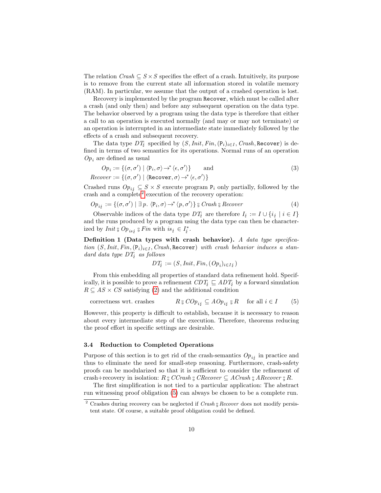The relation  $Crash \subseteq S \times S$  specifies the effect of a crash. Intuitively, its purpose is to remove from the current state all information stored in volatile memory (RAM). In particular, we assume that the output of a crashed operation is lost.

Recovery is implemented by the program Recover, which must be called after a crash (and only then) and before any subsequent operation on the data type. The behavior observed by a program using the data type is therefore that either a call to an operation is executed normally (and may or may not terminate) or an operation is interrupted in an intermediate state immediately followed by the effects of a crash and subsequent recovery.

The data type  $DT_{\xi}$  specified by  $(S,Init, Fin, (P_i)_{i \in I}, Crash, \text{Recover})$  is defined in terms of two semantics for its operations. Normal runs of an operation  $Op<sub>i</sub>$  are defined as usual

$$
Op_i := \{ (\sigma, \sigma') \mid \langle P_i, \sigma \rangle \to^* \langle \epsilon, \sigma' \rangle \} \quad \text{and} \quad (3)
$$
  
Recover :=  $\{ (\sigma, \sigma') \mid \langle \text{Recover}, \sigma \rangle \to^* \langle \epsilon, \sigma' \rangle \}$ 

Crashed runs  $Op_{i\ell} \subseteq S \times S$  execute program  $P_i$  only partially, followed by the crash and a complete<sup>[2](#page-10-1)</sup> execution of the recovery operation:

$$
Op_{i\,j} := \{ (\sigma, \sigma') \mid \exists p. \langle P_i, \sigma \rangle \rightarrow^* \langle p, \sigma' \rangle \} \text{ s } Crash \text{ s } Recover \tag{4}
$$

Observable indices of the data type  $DT_i$  are therefore  $I_i := I \cup \{i_i | i \in I\}$ and the runs produced by a program using the data type can then be characterized by *Init*  ${}_{9}^{9}$  *Op*<sub>is{</sub>  ${}_{9}^{9}$ *Fin* with  $is_{j} \in I_{j}^{*}$ . ¥.

Definition 1 (Data types with crash behavior). A data type specification  $(S,Init, Fin, (P_i)_{i \in I}, Crash, Recover)$  with crash behavior induces a standard data type  $DT<sub>i</sub>$  as follows

<span id="page-10-4"></span><span id="page-10-3"></span><span id="page-10-2"></span>
$$
DT_{\xi} := (S,Init, Fin, (Op_i)_{i \in I_{\xi}})
$$

From this embedding all properties of standard data refinement hold. Specifically, it is possible to prove a refinement  $CDT_f \subseteq ADT_f$  by a forward simulation  $R \subseteq AS \times CS$  satisfying [\(2\)](#page-9-2) and the additional condition

correctness wrt. crashes  ${}_{9}^{9} \, COp_{i\,i} \subseteq AOp_{i\,i} \, {}_{9}^{9} \, R \quad \text{ for all } i \in I$  (5)

However, this property is difficult to establish, because it is necessary to reason about every intermediate step of the execution. Therefore, theorems reducing the proof effort in specific settings are desirable.

#### <span id="page-10-0"></span>3.4 Reduction to Completed Operations

Purpose of this section is to get rid of the crash-semantics  $Op_{i,j}$  in practice and thus to eliminate the need for small-step reasoning. Furthermore, crash-safety proofs can be modularized so that it is sufficient to consider the refinement of crash+recovery in isolation:  $R_{9}$  CCrash  $9$  CRecover  $\subseteq$  ACrash  $9$  ARecover  $9$  R.

The first simplification is not tied to a particular application: The abstract run witnessing proof obligation [\(5\)](#page-10-2) can always be chosen to be a complete run.

<span id="page-10-5"></span><span id="page-10-1"></span><sup>&</sup>lt;sup>2</sup> Crashes during recovery can be neglected if  $Crash_{9}^{\circ}$  Recover does not modify persistent state. Of course, a suitable proof obligation could be defined.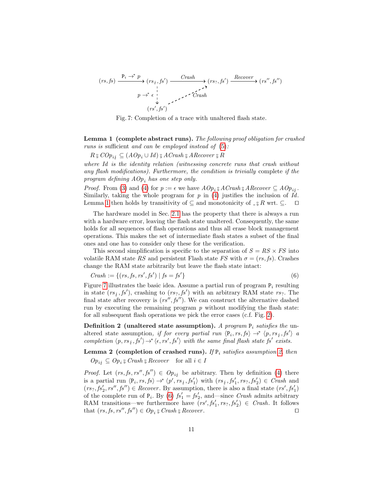<span id="page-11-0"></span>
$$
(rs, fs) \xrightarrow{P_i \to^* p} (rs_i, fs') \xrightarrow{Crash} (rs_?, fs') \xrightarrow{Recover} (rs'', fs'')
$$
\n
$$
p \to^* e \xrightarrow{i} \text{Crash}
$$
\n
$$
(rs', fs')
$$

Fig. 7: Completion of a trace with unaltered flash state.

Lemma 1 (complete abstract runs). The following proof obligation for crashed runs is sufficient and can be employed instead of [\(5\)](#page-10-2):

 $R \mathbin{\S} COP_{i\{i\}} \subseteq (A Op_i \cup Id) \mathbin{\S} ACrash \mathbin{\S} ARecover \mathbin{\S} R$ 

where Id is the identity relation (witnessing concrete runs that crash without any flash modifications). Furthermore, the condition is trivially complete if the program defining  $AOp_i$  has one step only.

*Proof.* From [\(3\)](#page-10-3) and [\(4\)](#page-10-4) for  $p := \epsilon$  we have  $AOp_i$  <sup>3</sup>  $ACrash$ <sup>3</sup>  $ARecover \subseteq AOp_{i}$ .<br>Similarly taking the whole program for n in (4) justifies the inclusion of L4 Similarly, taking the whole program for  $p$  in [\(4\)](#page-10-4) justifies the inclusion of  $Id$ . Lemma [1](#page-10-5) then holds by transitivity of  $\subseteq$  and monotonicity of  $\Box$ <sup>3</sup> R wrt.  $\subseteq$ .  $\square$ 

The hardware model in Sec. [2.1](#page-4-0) has the property that there is always a run with a hardware error, leaving the flash state unaltered. Consequently, the same holds for all sequences of flash operations and thus all erase block management operations. This makes the set of intermediate flash states a subset of the final ones and one has to consider only these for the verification.

This second simplification is specific to the separation of  $S = RS \times FS$  into volatile RAM state RS and persistent Flash state FS with  $\sigma = (rs, fs)$ . Crashes change the RAM state arbitrarily but leave the flash state intact:

<span id="page-11-2"></span>
$$
Crash := \{(rs, fs, rs', fs') \mid fs = fs'\}
$$
 (6)

Figure [7](#page-11-0) illustrates the basic idea. Assume a partial run of program  $P_i$  resulting in state  $(rs_i, fs')$ , crashing to  $(rs_i, fs')$  with an arbitrary RAM state  $rs_i$ . The final state after recovery is  $(rs'', fs'')$ . We can construct the alternative dashed run by executing the remaining program  $p$  without modifying the flash state: for all subsequent flash operations we pick the error cases (c.f. Fig. [2\)](#page-5-0).

<span id="page-11-1"></span>**Definition 2** (unaltered state assumption). A program  $P_i$  satisfies the unaltered state assumption, if for every partial run  $\langle P_i, rs, fs \rangle \rightarrow^* \langle p, rs_i, fs' \rangle$  a completion  $\langle p, rs_j, fs' \rangle \rightarrow^* \langle \epsilon, rs', fs' \rangle$  with the same final flash state fs' exists.

<span id="page-11-3"></span>Lemma 2 (completion of crashed runs). If  $P_i$  satisfies assumption [2,](#page-11-1) then  $Op_{i,j} \subseteq Op_i$   $G$  Crash  $G$  Recover for all  $i \in I$ 

*Proof.* Let  $(rs, fs, rs'', fs'') \in Op_{ij}$  be arbitrary. Then by definition [\(4\)](#page-10-4) there is a partial run  $\langle P_i, rs, fs \rangle \rightarrow^* \langle p', rs_j, fs'_1 \rangle$  with  $(rs_j, fs'_1, rs_7, fs'_2) \in Crash$  and  $(rs_?, fs'_2, rs'', fs'') \in Recovery$ . By assumption, there is also a final state  $(rs', fs'_1)$ of the complete run of  $P_i$ . By [\(6\)](#page-11-2)  $fs'_1 = fs'_2$ , and—since *Crash* admits arbitrary RAM transitions—we furthermore have  $(rs', fs'_1, rs_?, fs'_2) \in Crash$ . It follows that  $(rs, fs, rs'', fs'') \in Op_i$   $\sup$  *Grash*  $\sup$  *Recover.*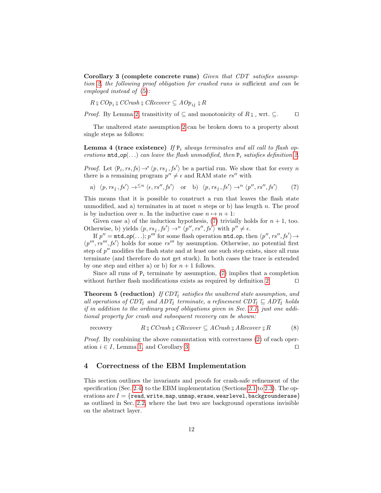<span id="page-12-2"></span>Corollary 3 (complete concrete runs) Given that CDT satisfies assumption [2,](#page-11-1) the following proof obligation for crashed runs is sufficient and can be employed instead of [\(5\)](#page-10-2):

 $R \nsubseteq COp_i \nsubseteq CCrash \nsubseteq CRecover \subseteq AOp_{i,j} \nsubseteq R$ 

*Proof.* By Lemma [2,](#page-11-3) transitivity of  $\subseteq$  and monotonicity of  $R_{9}$  – wrt.  $\subseteq$ . □

The unaltered state assumption [2](#page-11-1) can be broken down to a property about single steps as follows:

<span id="page-12-3"></span>**Lemma 4 (trace existence)** If  $P_i$  always terminates and all call to flash operations  $mtd\_op(...)$  can leave the flash unmodified, then  $P_i$  satisfies definition [2.](#page-11-1)

*Proof.* Let  $\langle P_i, rs, fs \rangle \rightarrow^* \langle p, rs_j, fs' \rangle$  be a partial run. We show that for every n there is a remaining program  $p'' \neq \epsilon$  and RAM state rs'' with

<span id="page-12-1"></span>a)  $\langle p, rs_i, fs' \rangle \rightarrow^{ or b)  $\langle p, rs_i, fs' \rangle \rightarrow^n \langle p'', rs'', fs' \rangle$$ i (7)

This means that it is possible to construct a run that leaves the flash state unmodified, and a) terminates in at most n steps or b) has length  $n$ . The proof is by induction over n. In the inductive case  $n \mapsto n + 1$ :

Given case a) of the induction hypothesis, [\(7\)](#page-12-1) trivially holds for  $n + 1$ , too. Otherwise, b) yields  $\langle p, rs_j, fs' \rangle \rightarrow^n \langle p'', rs'', fs' \rangle$  with  $p'' \neq \epsilon$ .

If  $p'' = \text{mtd} \text{ of } (n, k)$ ;  $p'''$  for some flash operation  $\text{mtd} \text{ of } p$ , then  $\langle p'', rs'', fs' \rangle \rightarrow$  $\langle p''', rs'''', fs' \rangle$  holds for some  $rs'''$  by assumption. Otherwise, no potential first step of  $p''$  modifies the flash state and at least one such step exists, since all runs terminate (and therefore do not get stuck). In both cases the trace is extended by one step and either a) or b) for  $n + 1$  follows.

Since all runs of  $P_i$  terminate by assumption, [\(7\)](#page-12-1) implies that a completion without further flash modifications exists as required by definition [2.](#page-11-1)  $\Box$ 

<span id="page-12-4"></span>**Theorem 5 (reduction)** If CDT<sub>i</sub> satisfies the unaltered state assumption, and all operations of CDT<sub>4</sub> and ADT<sub>4</sub> terminate, a refinement CDT<sub>4</sub>  $\subseteq$  ADT<sub>4</sub> holds if in addition to the ordinary proof obligations given in Sec. [3.1,](#page-8-2) just one additional property for crash and subsequent recovery can be shown:

<span id="page-12-5"></span>recovery  $\S CCrash \S$  CRecover  $\subseteq ACrash \S$  ARecover  $\S R$  (8)

Proof. By combining the above commutation with correctness [\(2\)](#page-9-2) of each operation  $i \in I$ , Lemma [1,](#page-10-5) and Corollary [3.](#page-12-2)

#### <span id="page-12-0"></span>4 Correctness of the EBM Implementation

This section outlines the invariants and proofs for crash-safe refinement of the specification (Sec. [2.4\)](#page-8-1) to the EBM implementation (Sections [2.1](#page-4-0) to [2.3\)](#page-7-0). The operations are  $I = \{$ read, write, map, unmap, erase, wearlevel, backgrounderase $\}$ as outlined in Sec. [2.2,](#page-5-1) where the last two are background operations invisible on the abstract layer.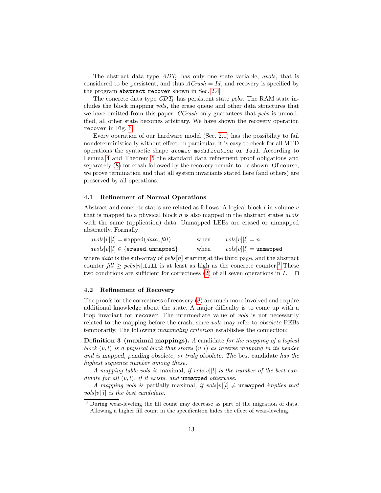The abstract data type  $ADT_i$  has only one state variable, avols, that is considered to be persistent, and thus  $ACrash = Id$ , and recovery is specified by the program abstract\_recover shown in Sec. [2.4.](#page-8-1)

The concrete data type  $CDT<sub>f</sub>$  has persistent state pebs. The RAM state includes the block mapping vols, the erase queue and other data structures that we have omitted from this paper. CCrash only guarantees that pebs is unmodified, all other state becomes arbitrary. We have shown the recovery operation recover in Fig. [6.](#page-7-1)

Every operation of our hardware model (Sec. [2.1\)](#page-4-0) has the possibility to fail nondeterministically without effect. In particular, it is easy to check for all MTD operations the syntactic shape atomic modification or fail. According to Lemma [4](#page-12-3) and Theorem [5](#page-12-4) the standard data refinement proof obligations and separately [\(8\)](#page-12-5) for crash followed by the recovery remain to be shown. Of course, we prove termination and that all system invariants stated here (and others) are preserved by all operations.

#### 4.1 Refinement of Normal Operations

Abstract and concrete states are related as follows. A logical block  $l$  in volume  $v$ that is mapped to a physical block  $n$  is also mapped in the abstract states *avols* with the same (application) data. Unmapped LEBs are erased or unmapped abstractly. Formally:

| $avols[v][l] = \texttt{mapped}(data, fill)$ | when | $vols[v][l] = n$        |
|---------------------------------------------|------|-------------------------|
| $avols[v][l] \in \{erased, unmapped\}$      | when | $vols[v][l] =$ unmapped |

where  $data$  is the sub-array of  $peds[n]$  starting at the third page, and the abstract counter  $\text{full} \ge \text{p}ebs[n].$  fill is at least as high as the concrete counter.<sup>[3](#page-13-0)</sup> These two conditions are sufficient for correctness [\(2\)](#page-9-2) of all seven operations in  $I$ .  $\Box$ 

#### 4.2 Refinement of Recovery

The proofs for the correctness of recovery [\(8\)](#page-12-5) are much more involved and require additional knowledge about the state. A major difficulty is to come up with a loop invariant for recover. The intermediate value of vols is not necessarily related to the mapping before the crash, since vols may refer to obsolete PEBs temporarily. The following maximality criterion establishes the connection:

Definition 3 (maximal mappings). A candidate for the mapping of a logical block  $(v, l)$  is a physical block that stores  $(v, l)$  as inverse mapping in its header and is mapped, pending obsolete, or truly obsolete. The best candidate has the highest sequence number among these.

A mapping table vols is maximal, if vols[v][l] is the number of the best candidate for all  $(v, l)$ , if it exists, and unmapped otherwise.

A mapping vols is partially maximal, if vols[v][l]  $\neq$  unmapped implies that  $vols[v][l]$  is the best candidate.

<span id="page-13-0"></span><sup>3</sup> During wear-leveling the fill count may decrease as part of the migration of data. Allowing a higher fill count in the specification hides the effect of wear-leveling.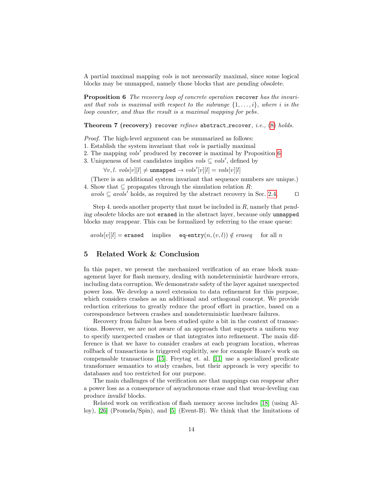A partial maximal mapping vols is not necessarily maximal, since some logical blocks may be unmapped, namely those blocks that are pending obsolete.

<span id="page-14-1"></span>Proposition 6 The recovery loop of concrete operation recover has the invariant that vols is maximal with respect to the subrange  $\{1, \ldots, i\}$ , where i is the loop counter, and thus the result is a maximal mapping for pebs .

Theorem 7 (recovery) recover refines abstract\_recover, i.e.,  $(8)$  holds.

Proof. The high-level argument can be summarized as follows:

- 1. Establish the system invariant that vols is partially maximal
- 2. The mapping vols' produced by recover is maximal by Proposition [6](#page-14-1)
- 3. Uniqueness of best candidates implies  $vols \subseteq vols'$ , defined by

 $\forall v, l. \; vols[v][l] \neq \text{unmapped} \rightarrow \textit{vols}'[v][l] = \textit{vols}[v][l]$ 

(There is an additional system invariant that sequence numbers are unique.) 4. Show that  $\subseteq$  propagates through the simulation relation R:

avols  $\subseteq$  avols' holds, as required by the abstract recovery in Sec. [2.4.](#page-8-1) □

Step 4. needs another property that must be included in R, namely that pending obsolete blocks are not erased in the abstract layer, because only unmapped blocks may reappear. This can be formalized by referring to the erase queue:

 $avols[v][l] =$  erased implies eq-entry $(n,(v,l)) \notin eraseq$  for all n

#### <span id="page-14-0"></span>5 Related Work & Conclusion

In this paper, we present the mechanized verification of an erase block management layer for flash memory, dealing with nondeterministic hardware errors, including data corruption. We demonstrate safety of the layer against unexpected power loss. We develop a novel extension to data refinement for this purpose, which considers crashes as an additional and orthogonal concept. We provide reduction criterions to greatly reduce the proof effort in practice, based on a correspondence between crashes and nondeterministic hardware failures.

Recovery from failure has been studied quite a bit in the context of transactions. However, we are not aware of an approach that supports a uniform way to specify unexpected crashes or that integrates into refinement. The main difference is that we have to consider crashes at each program location, whereas rollback of transactions is triggered explicitly, see for example Hoare's work on compensable transactions [\[15\]](#page-16-14). Freytag et. al. [\[11\]](#page-16-15) use a specialized predicate transformer semantics to study crashes, but their approach is very specific to databases and too restricted for our purpose.

The main challenges of the verification are that mappings can reappear after a power loss as a consequence of asynchronous erase and that wear-leveling can produce invalid blocks.

Related work on verification of flash memory access includes [\[18\]](#page-16-16) (using Alloy), [\[26\]](#page-16-17) (Promela/Spin), and [\[5\]](#page-15-6) (Event-B). We think that the limitations of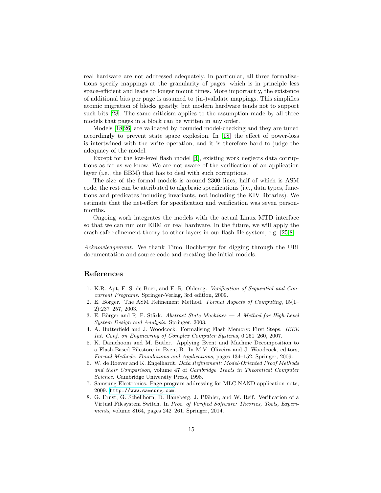real hardware are not addressed adequately. In particular, all three formalizations specify mappings at the granularity of pages, which is in principle less space-efficient and leads to longer mount times. More importantly, the existence of additional bits per page is assumed to (in-)validate mappings. This simplifies atomic migration of blocks greatly, but modern hardware tends not to support such bits [\[28\]](#page-16-18). The same criticism applies to the assumption made by all three models that pages in a block can be written in any order.

Models [\[18,](#page-16-16)[26\]](#page-16-17) are validated by bounded model-checking and they are tuned accordingly to prevent state space explosion. In [\[18\]](#page-16-16) the effect of power-loss is intertwined with the write operation, and it is therefore hard to judge the adequacy of the model.

Except for the low-level flash model [\[4\]](#page-15-7), existing work neglects data corruptions as far as we know. We are not aware of the verification of an application layer (i.e., the EBM) that has to deal with such corruptions.

The size of the formal models is around 2300 lines, half of which is ASM code, the rest can be attributed to algebraic specifications (i.e., data types, functions and predicates including invariants, not including the KIV libraries). We estimate that the net-effort for specification and verification was seven personmonths.

Ongoing work integrates the models with the actual Linux MTD interface so that we can run our EBM on real hardware. In the future, we will apply the crash-safe refinement theory to other layers in our flash file system, e.g. [\[25,](#page-16-19)[8\]](#page-15-0).

Acknowledgement. We thank Timo Hochberger for digging through the UBI documentation and source code and creating the initial models.

#### References

- <span id="page-15-4"></span>1. K.R. Apt, F. S. de Boer, and E.-R. Olderog. Verification of Sequential and Concurrent Programs. Springer-Verlag, 3rd edition, 2009.
- <span id="page-15-5"></span>2. E. Börger. The ASM Refinement Method. Formal Aspects of Computing,  $15(1-$ 2):237–257, 2003.
- <span id="page-15-1"></span>3. E. Börger and R. F. Stärk. Abstract State Machines  $- A$  Method for High-Level System Design and Analysis. Springer, 2003.
- <span id="page-15-7"></span>4. A. Butterfield and J. Woodcock. Formalising Flash Memory: First Steps. IEEE Int. Conf. on Engineering of Complex Computer Systems, 0:251–260, 2007.
- <span id="page-15-6"></span>5. K. Damchoom and M. Butler. Applying Event and Machine Decomposition to a Flash-Based Filestore in Event-B. In M.V. Oliveira and J. Woodcock, editors, Formal Methods: Foundations and Applications, pages 134–152. Springer, 2009.
- <span id="page-15-3"></span>6. W. de Roever and K. Engelhardt. Data Refinement: Model-Oriented Proof Methods and their Comparison, volume 47 of Cambridge Tracts in Theoretical Computer Science. Cambridge University Press, 1998.
- <span id="page-15-2"></span>7. Samsung Electronics. Page program addressing for MLC NAND application note, 2009. <http://www.samsung.com>.
- <span id="page-15-0"></span>8. G. Ernst, G. Schellhorn, D. Haneberg, J. Pfähler, and W. Reif. Verification of a Virtual Filesystem Switch. In Proc. of Verified Software: Theories, Tools, Experiments, volume 8164, pages 242–261. Springer, 2014.